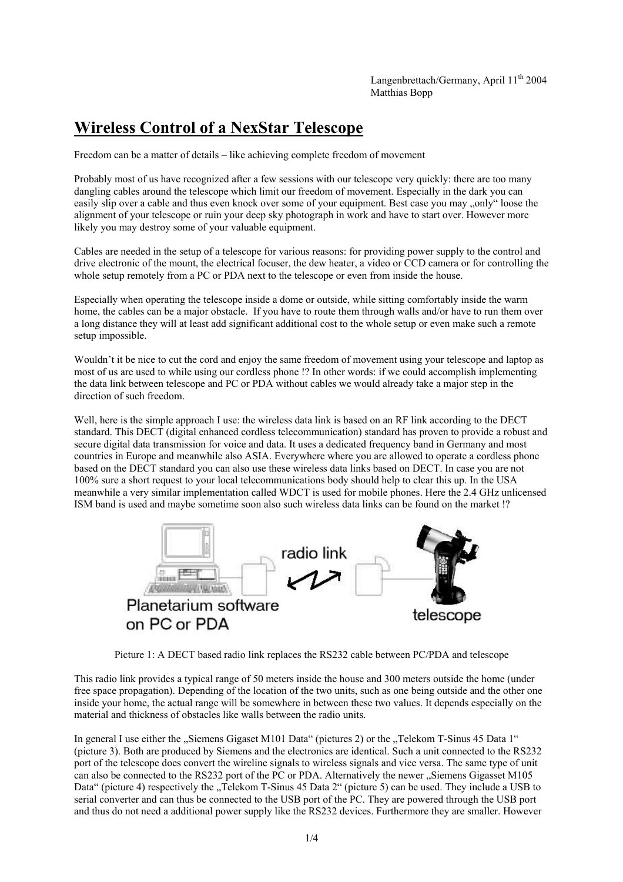## **Wireless Control of a NexStar Telescope**

Freedom can be a matter of details – like achieving complete freedom of movement

Probably most of us have recognized after a few sessions with our telescope very quickly: there are too many dangling cables around the telescope which limit our freedom of movement. Especially in the dark you can easily slip over a cable and thus even knock over some of your equipment. Best case you may ..only" loose the alignment of your telescope or ruin your deep sky photograph in work and have to start over. However more likely you may destroy some of your valuable equipment.

Cables are needed in the setup of a telescope for various reasons: for providing power supply to the control and drive electronic of the mount, the electrical focuser, the dew heater, a video or CCD camera or for controlling the whole setup remotely from a PC or PDA next to the telescope or even from inside the house.

Especially when operating the telescope inside a dome or outside, while sitting comfortably inside the warm home, the cables can be a major obstacle. If you have to route them through walls and/or have to run them over a long distance they will at least add significant additional cost to the whole setup or even make such a remote setup impossible.

Wouldn't it be nice to cut the cord and enjoy the same freedom of movement using your telescope and laptop as most of us are used to while using our cordless phone !? In other words: if we could accomplish implementing the data link between telescope and PC or PDA without cables we would already take a major step in the direction of such freedom.

Well, here is the simple approach I use: the wireless data link is based on an RF link according to the DECT standard. This DECT (digital enhanced cordless telecommunication) standard has proven to provide a robust and secure digital data transmission for voice and data. It uses a dedicated frequency band in Germany and most countries in Europe and meanwhile also ASIA. Everywhere where you are allowed to operate a cordless phone based on the DECT standard you can also use these wireless data links based on DECT. In case you are not 100% sure a short request to your local telecommunications body should help to clear this up. In the USA meanwhile a very similar implementation called WDCT is used for mobile phones. Here the 2.4 GHz unlicensed ISM band is used and maybe sometime soon also such wireless data links can be found on the market !?



Picture 1: A DECT based radio link replaces the RS232 cable between PC/PDA and telescope

This radio link provides a typical range of 50 meters inside the house and 300 meters outside the home (under free space propagation). Depending of the location of the two units, such as one being outside and the other one inside your home, the actual range will be somewhere in between these two values. It depends especially on the material and thickness of obstacles like walls between the radio units.

In general I use either the "Siemens Gigaset M101 Data" (pictures 2) or the "Telekom T-Sinus 45 Data 1" (picture 3). Both are produced by Siemens and the electronics are identical. Such a unit connected to the RS232 port of the telescope does convert the wireline signals to wireless signals and vice versa. The same type of unit can also be connected to the RS232 port of the PC or PDA. Alternatively the newer "Siemens Gigasset M105 Data" (picture 4) respectively the "Telekom T-Sinus 45 Data 2" (picture 5) can be used. They include a USB to serial converter and can thus be connected to the USB port of the PC. They are powered through the USB port and thus do not need a additional power supply like the RS232 devices. Furthermore they are smaller. However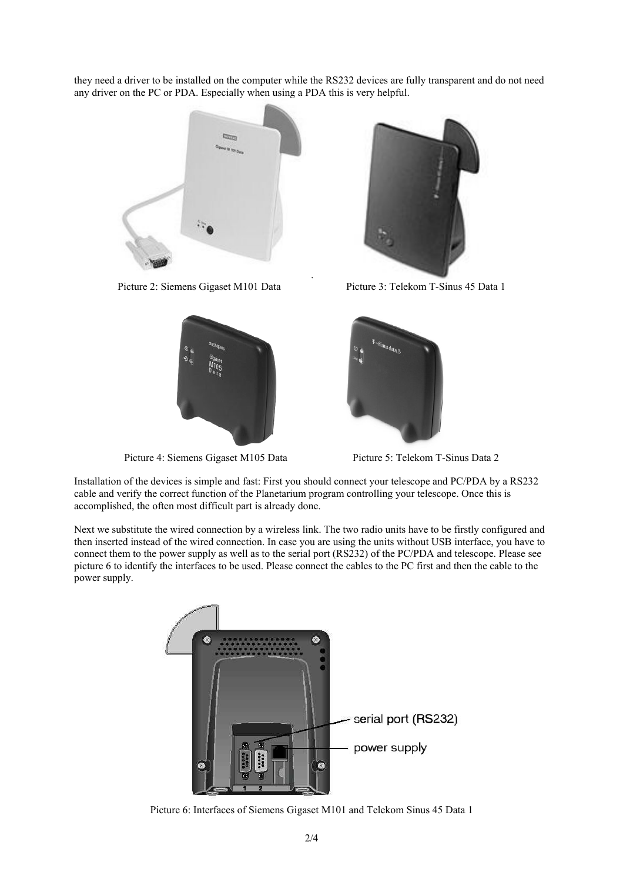they need a driver to be installed on the computer while the RS232 devices are fully transparent and do not need any driver on the PC or PDA. Especially when using a PDA this is very helpful.

.





Picture 4: Siemens Gigaset M105 Data Picture 5: Telekom T-Sinus Data 2



Picture 2: Siemens Gigaset M101 Data Picture 3: Telekom T-Sinus 45 Data 1



Installation of the devices is simple and fast: First you should connect your telescope and PC/PDA by a RS232 cable and verify the correct function of the Planetarium program controlling your telescope. Once this is accomplished, the often most difficult part is already done.

Next we substitute the wired connection by a wireless link. The two radio units have to be firstly configured and then inserted instead of the wired connection. In case you are using the units without USB interface, you have to connect them to the power supply as well as to the serial port (RS232) of the PC/PDA and telescope. Please see picture 6 to identify the interfaces to be used. Please connect the cables to the PC first and then the cable to the power supply.



Picture 6: Interfaces of Siemens Gigaset M101 and Telekom Sinus 45 Data 1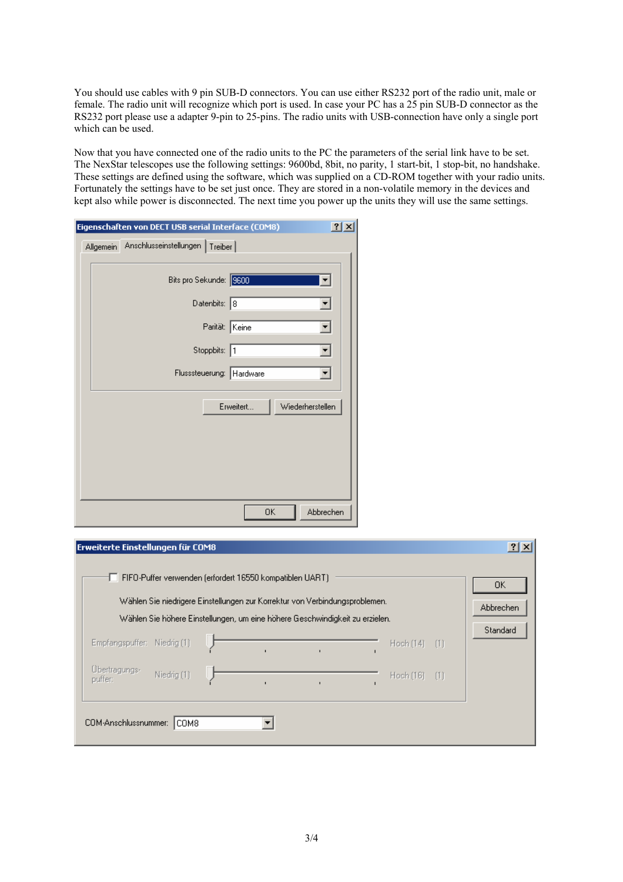You should use cables with 9 pin SUB-D connectors. You can use either RS232 port of the radio unit, male or female. The radio unit will recognize which port is used. In case your PC has a 25 pin SUB-D connector as the RS232 port please use a adapter 9-pin to 25-pins. The radio units with USB-connection have only a single port which can be used.

Now that you have connected one of the radio units to the PC the parameters of the serial link have to be set. The NexStar telescopes use the following settings: 9600bd, 8bit, no parity, 1 start-bit, 1 stop-bit, no handshake. These settings are defined using the software, which was supplied on a CD-ROM together with your radio units. Fortunately the settings have to be set just once. They are stored in a non-volatile memory in the devices and kept also while power is disconnected. The next time you power up the units they will use the same settings.

| Eigenschaften von DECT USB serial Interface (COM8) | 2 x                           |
|----------------------------------------------------|-------------------------------|
| Allgemein Anschlusseinstellungen Treiber           |                               |
|                                                    |                               |
| Bits pro Sekunde: 9600                             |                               |
| Datenbits: 8                                       |                               |
| Parität: Keine                                     |                               |
| Stoppbits: 1                                       |                               |
|                                                    |                               |
| Flusssteuerung: Hardware                           |                               |
|                                                    | Erweitert<br>Wiederherstellen |
|                                                    |                               |
|                                                    |                               |
|                                                    |                               |
|                                                    |                               |
|                                                    |                               |
|                                                    | Abbrechen<br>0K               |

| Erweiterte Einstellungen für COM8 |             | FIFO-Puffer verwenden (erfordert 16550 kompatiblen UART)                                                                                                    |  |           |      | $ ?  \times  $              |
|-----------------------------------|-------------|-------------------------------------------------------------------------------------------------------------------------------------------------------------|--|-----------|------|-----------------------------|
|                                   |             | Wählen Sie niedrigere Einstellungen zur Korrektur von Verbindungsproblemen.<br>Wählen Sie höhere Einstellungen, um eine höhere Geschwindigkeit zu erzielen. |  |           |      | 0K<br>Abbrechen<br>Standard |
| Empfangspuffer: Niedrig (1)       |             |                                                                                                                                                             |  | Hoch (14) | -111 |                             |
| Übertragungs-<br>puffer:          | Niedrig (1) |                                                                                                                                                             |  | Hoch (16) | -111 |                             |
| COM-Anschlussnummer:              | COM8        |                                                                                                                                                             |  |           |      |                             |